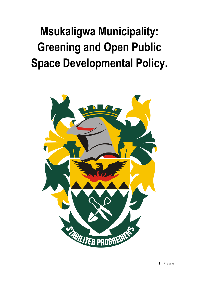# **Msukaligwa Municipality: Greening and Open Public Space Developmental Policy.**

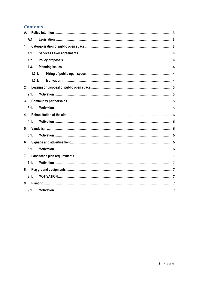# **Contents**

| А.             |  |  |
|----------------|--|--|
| A.1.           |  |  |
| 1.             |  |  |
| 1.1.           |  |  |
| 1.2.           |  |  |
| 1.3.           |  |  |
| 1.3.1.         |  |  |
| 1.3.2.         |  |  |
| 2.             |  |  |
| 2.1.           |  |  |
| 3 <sub>1</sub> |  |  |
| 3.1.           |  |  |
| 4.             |  |  |
| 4.1.           |  |  |
|                |  |  |
| 5.1.           |  |  |
| 6.             |  |  |
| 6.1.           |  |  |
| 7.             |  |  |
| 7.1.           |  |  |
| 8.             |  |  |
| 8.1.           |  |  |
| 9.             |  |  |
| 9.1.           |  |  |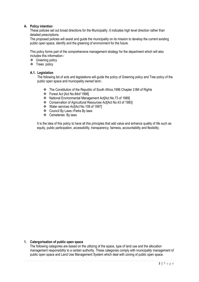# <span id="page-2-0"></span>**A. Policy intention**

These policies set out broad directions for the Municipality .It indicates high level direction rather than detailed prescriptions.

The proposed policies will assist and guide the municipality on its mission to develop the current existing public open space, identify and the greening of environment for the future.

This policy forms part of the comprehensive management strategy for the department which will also includes this information:-

- ❖ Greening policy
- $\div$  Trees policy

# <span id="page-2-1"></span>**A.1. Legislation**.

The following list of acts and legislations will guide the policy of Greening policy and Tree policy of the public open space and municipality owned land:-

- \* The Constitution of the Republic of South Africa, 1996 Chapter 2: Bill of Rights
- Forest Act [Act No.84of 1998]
- National Environmental Management Act[Act No.73 of 1989]
- Conservation of Agricultural Resources Act[Act No.43 of 1983]
- Water services Act[Act No.108 of 1997]
- Council By Laws:-Parks By laws
- Cemeteries By laws

It is the idea of this policy to have all this principles that add value and enhance quality of life such as equity, public participation, accessibility, transparency, fairness, accountability and flexibility.

#### <span id="page-2-2"></span>**1. Catergorisation of public open space**

The following categories are based on the utilizing of the space, type of land use and the allocation management responsibility to a certain authority. These categories comply with municipality management of public open space and Land Use Management System which deal with zoning of public open space.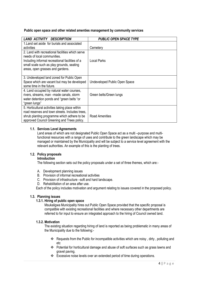# **Public open space and other related amenties management by community services**

| LAND ACTIVITY<br><b>DESCRIPTION</b>                                                                                                                                                              | <b>PUBLIC OPEN SPACE TYPE</b> |
|--------------------------------------------------------------------------------------------------------------------------------------------------------------------------------------------------|-------------------------------|
| 1. Land set aside for burials and associated                                                                                                                                                     |                               |
| activities                                                                                                                                                                                       | Cemetery                      |
| 2. Land with recreational facilities which serve<br>needs of local communities.<br>Including informal recreational facilities of a<br>small scale such as play grounds, seating                  | <b>Local Parks</b>            |
| areas, open grasses and gardens.                                                                                                                                                                 |                               |
| 3. Undeveloped land zoned for Public Open<br>Space which are vacant but may be developed<br>some time in the future.                                                                             | Undeveloped Public Open Space |
| 4. Land occupied by natural water courses,<br>rivers, streams, man -made canals, storm<br>water detention ponds and "green belts "or<br>"green lungs"                                            | Green belts/Green lungs       |
| 5. Horticultural activities taking place within<br>road reserves and town streets. Includes trees,<br>shrub planting programme which adhere to be<br>approved Council Greening and Trees policy. | <b>Road Amenities</b>         |

# <span id="page-3-0"></span>**1.1. Services Level Agreements**

Land areas of which are not designated Public Open Space act as a multi –purpose and multifunctional resources with a range of uses and contribute to the green landscape which may be managed or maintained by the Municipality and will be subject to a service level agreement with the relevant authorities. An example of this is the planting of trees.

# <span id="page-3-1"></span>**1.2. Policy proposals**

# **Introduction**

The following section sets out the policy proposals under a set of three themes, which are:-

- A. Development planning issues
- B. Provision of informal recreational activities
- C. Provision of infrastructure –soft and hard landscape.
- D. Rehabilitation of an area after use.

Each of the policy includes motivation and argument relating to issues covered in the proposed policy.

#### <span id="page-3-3"></span><span id="page-3-2"></span>**1.3. Planning issues**

#### **1.3.1. Hiring of public open space**

Msukaligwa Municipality hires out Public Open Space provided that the specific proposal is compatible with existing recreational facilities and where necessary other departments are referred to for input to ensure an integrated approach to the hiring of Council owned land.

#### <span id="page-3-4"></span>**1.3.2. Motivation**

The existing situation regarding hiring of land is reported as being problematic in many areas of the Municipality due to the following:-

- \* Requests from the Public for incompatible activities which are noisy, dirty, polluting and etc
- Potential for horticultural damage and abuse of soft surfaces such as grass lawns and gravel paving.
- Excessive noise levels over an extended period of time during operations.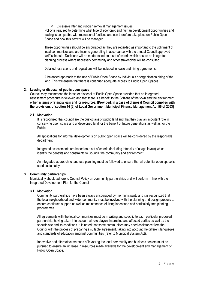$\div$  Excessive litter and rubbish removal management issues.

Policy is required to determine what type of economic and human development opportunities and trading is compatible with recreational facilities and can therefore take place on Public Open Space and how this activity will be managed.

These opportunities should be encouraged as they are regarded as important to the upliftment of local communities and are income generating in accordance with the annual Council approved tariff schedule. Decisions will be made based on a set of criteria which ensure an integrated planning process where necessary community and other stakeholder will be consulted.

Detailed restrictions and regulations will be included in lease and hiring agreements.

A balanced approach to the use of Public Open Space by individuals or organisation hiring of the land. This will ensure that there is continued adequate access to Public Open Spaces.

# <span id="page-4-0"></span>**2. Leasing or disposal of public open space**

Council may recommend the lease or disposal of Public Open Space provided that an integrated assessment procedure is followed and that there is a benefit to the Citizens of the town and the environment either in terms of financial gain and /or resources. **[Provided, in a case of disposal Council complies with the provisions of section 14 (2) of Local Government Municipal Finance Management Act 56 of 2003]**

# <span id="page-4-1"></span>**2.1. Motivation**

It is recognized that council are the custodians of public land and that they play an important role in conserving open space and undeveloped land for the benefit of future generations as well as for the Public .

All applications for informal developments on public open space will be considered by the responsible department.

Integrated assessments are based on a set of criteria (including intensity of usage levels) which identify the benefits and constraints to Council, the community and environment.

An integrated approach to land use planning must be followed to ensure that all potential open space is used sustainably.

#### <span id="page-4-2"></span>**3. Community partnerships**

Municipality should adhere to Council Policy on community partnerships and will perform in line with the Integrated Development Plan for the Council.

#### <span id="page-4-3"></span>**3.1. Motivation**

Community partnerships have been always encouraged by the municipality and it is recognized that the local neighborhood and wider community must be involved with the planning and design process to ensure continued support as well as maintenance of living landscape and particularly tree planting programmes.

All agreements with the local communities must be in writing and specific to each particular proposed partnership, having taken into account all role players interested and affected parties as well as the specific site and its conditions .It is noted that some communities may need assistance from the Council with the process of preparing a suitable agreement, taking into account the different languages and standards of education amongst communities (refer to Municipal System Act).

Innovative and alternative methods of involving the local community and business sectors must be pursued to ensure an increase in resources made available for the development and management of Public Open Space.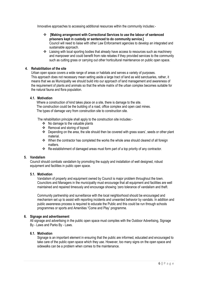Innovative approaches to accessing additional resources within the community includes:-

- **[Making arrangement with Correctional Services to use the labour of sentenced prisoners kept in custody or sentenced to do community service.]** Council will need to liaise with other Law Enforcement agencies to develop an integrated and sustainable approach.
- $\clubsuit$  Liaising with local sporting bodies that already have access to resources such as machinery and manpower and could benefit from rate rebates if they provided services to the community such as cutting grass or carrying out other horticultural maintenance on public open space.

# <span id="page-5-0"></span>**4. Rehabilitation of the site**

Urban open space covers a wide range of areas or habitats and serves a variety of purposes. This approach does not necessary mean setting aside a large tract of land as wild sanctuaries, rather, it means that we as Municipality we should build into our approach of land management and awareness of the requirement of plants and animals so that the whole matrix of the urban complex becomes suitable for the natural fauna and flora population.

#### <span id="page-5-1"></span>**4.1. Motivation**

 Where a construction of kind takes place on a site, there is damage to the site. The construction could be the building of a road, office complex and open cast mines. The types of damage vary from construction site to construction site.

The rehabilitation principle shall apply to the construction site includes:-

- $\div$  No damage to the valuable plants
- Removal and storing of topsoil
- $\div$  Depending on the area, the site should then be covered with grass soars', seeds or other plant material.
- When the contractor has completed the works the whole area should cleared of all foreign matters.
- \* Re-establishment of damaged areas must form part of a top priority of any contractor.

#### <span id="page-5-2"></span>**5. Vandalism**

Council should combats vandalism by promoting the supply and installation of well designed, robust equipment and facilities in public open space.

#### <span id="page-5-3"></span>**5.1. Motivation**

Vandalism of property and equipment owned by Council is major problem throughout the town. Councilors and Managers in the municipality must encourage that all equipment and facilities are well maintained and repaired timeously and encourage showing "zero tolerance of vandalism and theft.

Community partnership and surveillance with the local neighborhood should be encouraged and mechanism set up to assist with reporting incidents and unwanted behavior by vandals. In addition and public awareness process is required to educate the Public and this could be run through schools programmes or sports and Amenities "Come and Play" programme.

# <span id="page-5-4"></span>**6. Signage and advertisement**

All signage and advertising in the public open space must compiles with the Outdoor Advertising, Signage By - Laws and Parks By - Laws.

#### <span id="page-5-5"></span>**6.1. Motivation**

Signage is an important element in ensuring that the public are informed, educated and encouraged to take care of the public open space which they use. However, too many signs on the open space and sidewalks can be a problem when comes to the maintenance.